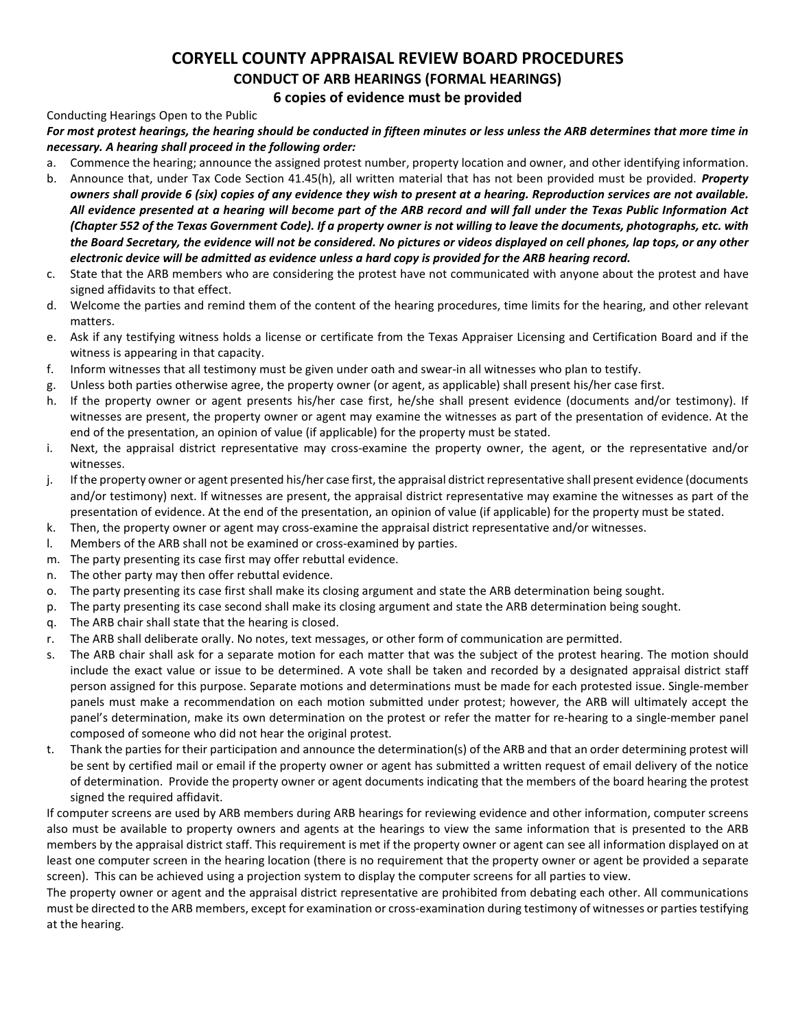# **CORYELL COUNTY APPRAISAL REVIEW BOARD PROCEDURES CONDUCT OF ARB HEARINGS (FORMAL HEARINGS)**

**6 copies of evidence must be provided** 

#### Conducting Hearings Open to the Public

## *For most protest hearings, the hearing should be conducted in fifteen minutes or less unless the ARB determines that more time in necessary. A hearing shall proceed in the following order:*

- a. Commence the hearing; announce the assigned protest number, property location and owner, and other identifying information.
- b. Announce that, under Tax Code Section 41.45(h), all written material that has not been provided must be provided. *Property owners shall provide 6 (six) copies of any evidence they wish to present at a hearing. Reproduction services are not available. All evidence presented at a hearing will become part of the ARB record and will fall under the Texas Public Information Act (Chapter 552 of the Texas Government Code). If a property owner is not willing to leave the documents, photographs, etc. with the Board Secretary, the evidence will not be considered. No pictures or videos displayed on cell phones, lap tops, or any other electronic device will be admitted as evidence unless a hard copy is provided for the ARB hearing record.*
- c. State that the ARB members who are considering the protest have not communicated with anyone about the protest and have signed affidavits to that effect.
- d. Welcome the parties and remind them of the content of the hearing procedures, time limits for the hearing, and other relevant matters.
- e. Ask if any testifying witness holds a license or certificate from the Texas Appraiser Licensing and Certification Board and if the witness is appearing in that capacity.
- f. Inform witnesses that all testimony must be given under oath and swear-in all witnesses who plan to testify.
- g. Unless both parties otherwise agree, the property owner (or agent, as applicable) shall present his/her case first.
- h. If the property owner or agent presents his/her case first, he/she shall present evidence (documents and/or testimony). If witnesses are present, the property owner or agent may examine the witnesses as part of the presentation of evidence. At the end of the presentation, an opinion of value (if applicable) for the property must be stated.
- i. Next, the appraisal district representative may cross-examine the property owner, the agent, or the representative and/or witnesses.
- j. If the property owner or agent presented his/her case first, the appraisal district representative shall present evidence (documents and/or testimony) next. If witnesses are present, the appraisal district representative may examine the witnesses as part of the presentation of evidence. At the end of the presentation, an opinion of value (if applicable) for the property must be stated.
- k. Then, the property owner or agent may cross-examine the appraisal district representative and/or witnesses.
- l. Members of the ARB shall not be examined or cross-examined by parties.
- m. The party presenting its case first may offer rebuttal evidence.
- n. The other party may then offer rebuttal evidence.
- o. The party presenting its case first shall make its closing argument and state the ARB determination being sought.
- p. The party presenting its case second shall make its closing argument and state the ARB determination being sought.
- q. The ARB chair shall state that the hearing is closed.
- r. The ARB shall deliberate orally. No notes, text messages, or other form of communication are permitted.
- s. The ARB chair shall ask for a separate motion for each matter that was the subject of the protest hearing. The motion should include the exact value or issue to be determined. A vote shall be taken and recorded by a designated appraisal district staff person assigned for this purpose. Separate motions and determinations must be made for each protested issue. Single-member panels must make a recommendation on each motion submitted under protest; however, the ARB will ultimately accept the panel's determination, make its own determination on the protest or refer the matter for re-hearing to a single-member panel composed of someone who did not hear the original protest.
- t. Thank the parties for their participation and announce the determination(s) of the ARB and that an order determining protest will be sent by certified mail or email if the property owner or agent has submitted a written request of email delivery of the notice of determination. Provide the property owner or agent documents indicating that the members of the board hearing the protest signed the required affidavit.

If computer screens are used by ARB members during ARB hearings for reviewing evidence and other information, computer screens also must be available to property owners and agents at the hearings to view the same information that is presented to the ARB members by the appraisal district staff. This requirement is met if the property owner or agent can see all information displayed on at least one computer screen in the hearing location (there is no requirement that the property owner or agent be provided a separate screen). This can be achieved using a projection system to display the computer screens for all parties to view.

The property owner or agent and the appraisal district representative are prohibited from debating each other. All communications must be directed to the ARB members, except for examination or cross-examination during testimony of witnesses or parties testifying at the hearing.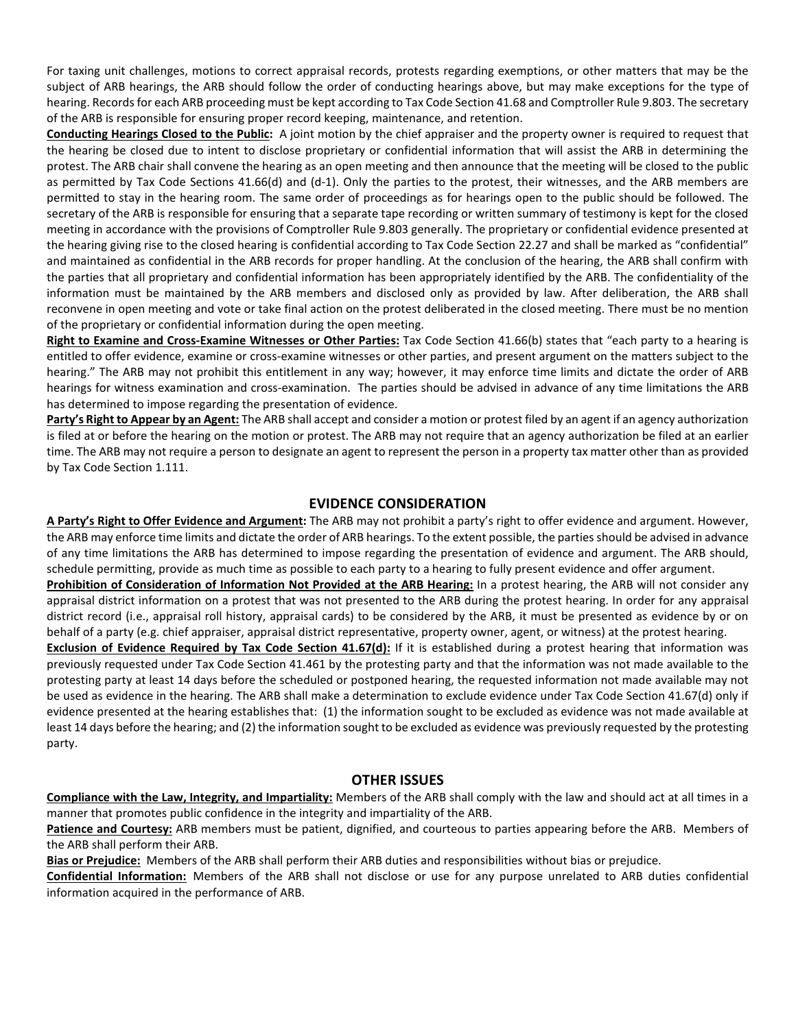For taxing unit challenges, motions to correct appraisal records, protests regarding exemptions, or other matters that may be the subject of ARB hearings, the ARB should follow the order of conducting hearings above, but may make exceptions for the type of hearing. Records for each ARB proceeding must be kept according to Tax Code Section 41.68 and Comptroller Rule 9.803. The secretary of the ARB is responsible for ensuring proper record keeping, maintenance, and retention.

**Conducting Hearings Closed to the Public:** A joint motion by the chief appraiser and the property owner is required to request that the hearing be closed due to intent to disclose proprietary or confidential information that will assist the ARB in determining the protest. The ARB chair shall convene the hearing as an open meeting and then announce that the meeting will be closed to the public as permitted by Tax Code Sections 41.66(d) and (d-1). Only the parties to the protest, their witnesses, and the ARB members are permitted to stay in the hearing room. The same order of proceedings as for hearings open to the public should be followed. The secretary of the ARB is responsible for ensuring that a separate tape recording or written summary of testimony is kept for the closed meeting in accordance with the provisions of Comptroller Rule 9.803 generally. The proprietary or confidential evidence presented at the hearing giving rise to the closed hearing is confidential according to Tax Code Section 22.27 and shall be marked as "confidential" and maintained as confidential in the ARB records for proper handling. At the conclusion of the hearing, the ARB shall confirm with the parties that all proprietary and confidential information has been appropriately identified by the ARB. The confidentiality of the information must be maintained by the ARB members and disclosed only as provided by law. After deliberation, the ARB shall reconvene in open meeting and vote or take final action on the protest deliberated in the closed meeting. There must be no mention of the proprietary or confidential information during the open meeting.

**Right to Examine and Cross-Examine Witnesses or Other Parties:** Tax Code Section 41.66(b) states that "each party to a hearing is entitled to offer evidence, examine or cross-examine witnesses or other parties, and present argument on the matters subject to the hearing." The ARB may not prohibit this entitlement in any way; however, it may enforce time limits and dictate the order of ARB hearings for witness examination and cross-examination. The parties should be advised in advance of any time limitations the ARB has determined to impose regarding the presentation of evidence.

Party's Right to Appear by an Agent: The ARB shall accept and consider a motion or protest filed by an agent if an agency authorization is filed at or before the hearing on the motion or protest. The ARB may not require that an agency authorization be filed at an earlier time. The ARB may not require a person to designate an agent to represent the person in a property tax matter other than as provided by Tax Code Section 1.111.

# **EVIDENCE CONSIDERATION**

**A Party's Right to Offer Evidence and Argument:** The ARB may not prohibit a party's right to offer evidence and argument. However, the ARB may enforce time limits and dictate the order of ARB hearings. To the extent possible, the parties should be advised in advance of any time limitations the ARB has determined to impose regarding the presentation of evidence and argument. The ARB should, schedule permitting, provide as much time as possible to each party to a hearing to fully present evidence and offer argument.

**Prohibition of Consideration of Information Not Provided at the ARB Hearing:** In a protest hearing, the ARB will not consider any appraisal district information on a protest that was not presented to the ARB during the protest hearing. In order for any appraisal district record (i.e., appraisal roll history, appraisal cards) to be considered by the ARB, it must be presented as evidence by or on behalf of a party (e.g. chief appraiser, appraisal district representative, property owner, agent, or witness) at the protest hearing.

**Exclusion of Evidence Required by Tax Code Section 41.67(d):** If it is established during a protest hearing that information was previously requested under Tax Code Section 41.461 by the protesting party and that the information was not made available to the protesting party at least 14 days before the scheduled or postponed hearing, the requested information not made available may not be used as evidence in the hearing. The ARB shall make a determination to exclude evidence under Tax Code Section 41.67(d) only if evidence presented at the hearing establishes that: (1) the information sought to be excluded as evidence was not made available at least 14 days before the hearing; and (2) the information sought to be excluded as evidence was previously requested by the protesting party.

#### **OTHER ISSUES**

**Compliance with the Law, Integrity, and Impartiality:** Members of the ARB shall comply with the law and should act at all times in a manner that promotes public confidence in the integrity and impartiality of the ARB.

**Patience and Courtesy:** ARB members must be patient, dignified, and courteous to parties appearing before the ARB. Members of the ARB shall perform their ARB.

**Bias or Prejudice:** Members of the ARB shall perform their ARB duties and responsibilities without bias or prejudice.

**Confidential Information:** Members of the ARB shall not disclose or use for any purpose unrelated to ARB duties confidential information acquired in the performance of ARB.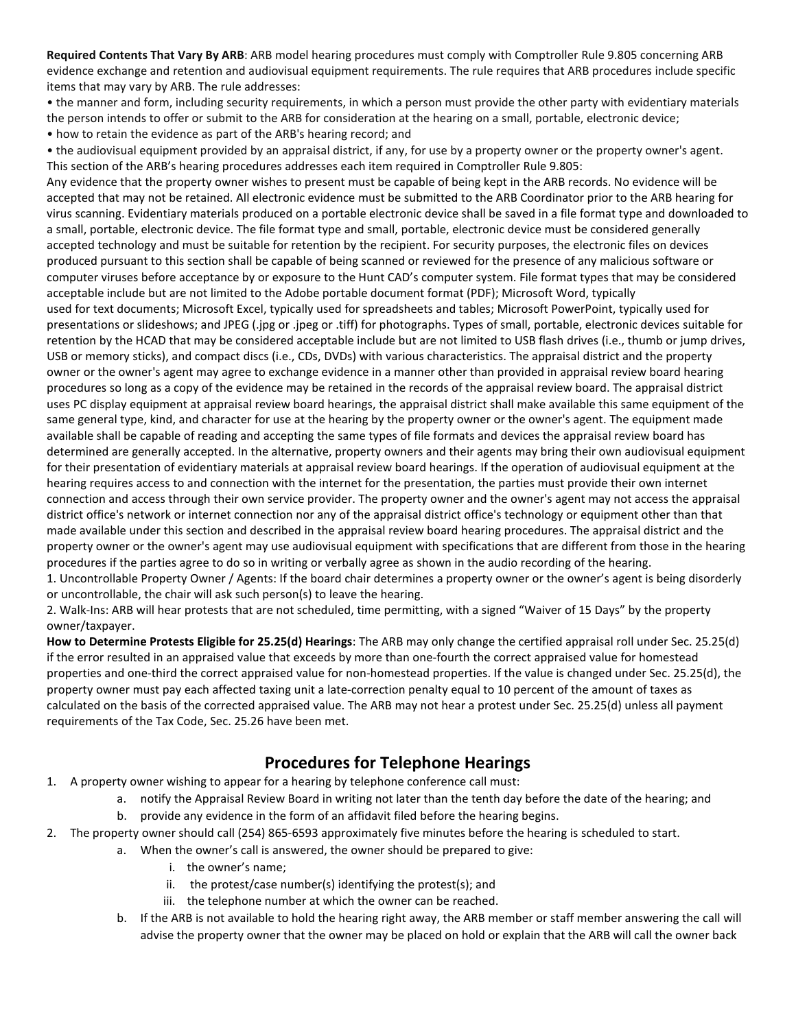**Required Contents That Vary By ARB**: ARB model hearing procedures must comply with Comptroller Rule 9.805 concerning ARB evidence exchange and retention and audiovisual equipment requirements. The rule requires that ARB procedures include specific items that may vary by ARB. The rule addresses:

• the manner and form, including security requirements, in which a person must provide the other party with evidentiary materials the person intends to offer or submit to the ARB for consideration at the hearing on a small, portable, electronic device;

• how to retain the evidence as part of the ARB's hearing record; and

• the audiovisual equipment provided by an appraisal district, if any, for use by a property owner or the property owner's agent. This section of the ARB's hearing procedures addresses each item required in Comptroller Rule 9.805:

Any evidence that the property owner wishes to present must be capable of being kept in the ARB records. No evidence will be accepted that may not be retained. All electronic evidence must be submitted to the ARB Coordinator prior to the ARB hearing for virus scanning. Evidentiary materials produced on a portable electronic device shall be saved in a file format type and downloaded to a small, portable, electronic device. The file format type and small, portable, electronic device must be considered generally accepted technology and must be suitable for retention by the recipient. For security purposes, the electronic files on devices produced pursuant to this section shall be capable of being scanned or reviewed for the presence of any malicious software or computer viruses before acceptance by or exposure to the Hunt CAD's computer system. File format types that may be considered acceptable include but are not limited to the Adobe portable document format (PDF); Microsoft Word, typically

used for text documents; Microsoft Excel, typically used for spreadsheets and tables; Microsoft PowerPoint, typically used for presentations or slideshows; and JPEG (.jpg or .jpeg or .tiff) for photographs. Types of small, portable, electronic devices suitable for retention by the HCAD that may be considered acceptable include but are not limited to USB flash drives (i.e., thumb or jump drives, USB or memory sticks), and compact discs (i.e., CDs, DVDs) with various characteristics. The appraisal district and the property owner or the owner's agent may agree to exchange evidence in a manner other than provided in appraisal review board hearing procedures so long as a copy of the evidence may be retained in the records of the appraisal review board. The appraisal district uses PC display equipment at appraisal review board hearings, the appraisal district shall make available this same equipment of the same general type, kind, and character for use at the hearing by the property owner or the owner's agent. The equipment made available shall be capable of reading and accepting the same types of file formats and devices the appraisal review board has determined are generally accepted. In the alternative, property owners and their agents may bring their own audiovisual equipment for their presentation of evidentiary materials at appraisal review board hearings. If the operation of audiovisual equipment at the hearing requires access to and connection with the internet for the presentation, the parties must provide their own internet connection and access through their own service provider. The property owner and the owner's agent may not access the appraisal district office's network or internet connection nor any of the appraisal district office's technology or equipment other than that made available under this section and described in the appraisal review board hearing procedures. The appraisal district and the property owner or the owner's agent may use audiovisual equipment with specifications that are different from those in the hearing procedures if the parties agree to do so in writing or verbally agree as shown in the audio recording of the hearing.

1. Uncontrollable Property Owner / Agents: If the board chair determines a property owner or the owner's agent is being disorderly or uncontrollable, the chair will ask such person(s) to leave the hearing.

2. Walk-Ins: ARB will hear protests that are not scheduled, time permitting, with a signed "Waiver of 15 Days" by the property owner/taxpayer.

**How to Determine Protests Eligible for 25.25(d) Hearings**: The ARB may only change the certified appraisal roll under Sec. 25.25(d) if the error resulted in an appraised value that exceeds by more than one-fourth the correct appraised value for homestead properties and one-third the correct appraised value for non-homestead properties. If the value is changed under Sec. 25.25(d), the property owner must pay each affected taxing unit a late-correction penalty equal to 10 percent of the amount of taxes as calculated on the basis of the corrected appraised value. The ARB may not hear a protest under Sec. 25.25(d) unless all payment requirements of the Tax Code, Sec. 25.26 have been met.

# **Procedures for Telephone Hearings**

- 1. A property owner wishing to appear for a hearing by telephone conference call must:
	- a. notify the Appraisal Review Board in writing not later than the tenth day before the date of the hearing; and
	- b. provide any evidence in the form of an affidavit filed before the hearing begins.
- 2. The property owner should call (254) 865-6593 approximately five minutes before the hearing is scheduled to start.
	- a. When the owner's call is answered, the owner should be prepared to give:
		- i. the owner's name;
		- ii. the protest/case number(s) identifying the protest(s); and
		- iii. the telephone number at which the owner can be reached.
		- b. If the ARB is not available to hold the hearing right away, the ARB member or staff member answering the call will advise the property owner that the owner may be placed on hold or explain that the ARB will call the owner back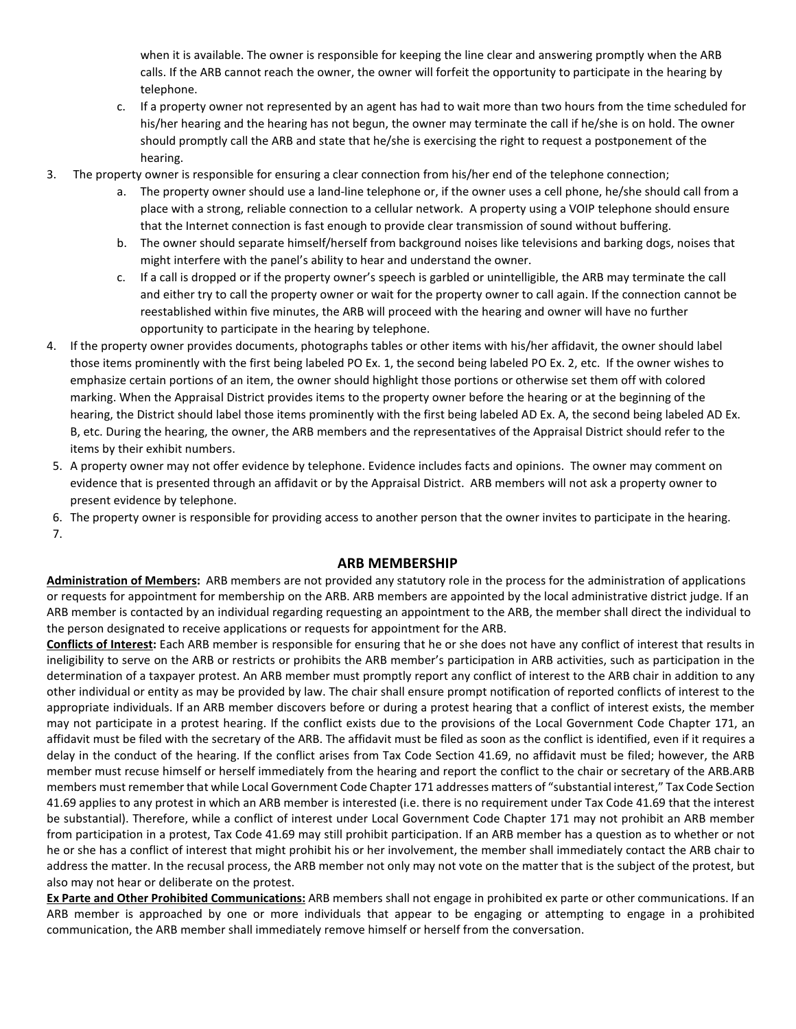when it is available. The owner is responsible for keeping the line clear and answering promptly when the ARB calls. If the ARB cannot reach the owner, the owner will forfeit the opportunity to participate in the hearing by telephone.

- c. If a property owner not represented by an agent has had to wait more than two hours from the time scheduled for his/her hearing and the hearing has not begun, the owner may terminate the call if he/she is on hold. The owner should promptly call the ARB and state that he/she is exercising the right to request a postponement of the hearing.
- 3. The property owner is responsible for ensuring a clear connection from his/her end of the telephone connection;
	- a. The property owner should use a land-line telephone or, if the owner uses a cell phone, he/she should call from a place with a strong, reliable connection to a cellular network. A property using a VOIP telephone should ensure that the Internet connection is fast enough to provide clear transmission of sound without buffering.
	- b. The owner should separate himself/herself from background noises like televisions and barking dogs, noises that might interfere with the panel's ability to hear and understand the owner.
	- c. If a call is dropped or if the property owner's speech is garbled or unintelligible, the ARB may terminate the call and either try to call the property owner or wait for the property owner to call again. If the connection cannot be reestablished within five minutes, the ARB will proceed with the hearing and owner will have no further opportunity to participate in the hearing by telephone.
- 4. If the property owner provides documents, photographs tables or other items with his/her affidavit, the owner should label those items prominently with the first being labeled PO Ex. 1, the second being labeled PO Ex. 2, etc. If the owner wishes to emphasize certain portions of an item, the owner should highlight those portions or otherwise set them off with colored marking. When the Appraisal District provides items to the property owner before the hearing or at the beginning of the hearing, the District should label those items prominently with the first being labeled AD Ex. A, the second being labeled AD Ex. B, etc. During the hearing, the owner, the ARB members and the representatives of the Appraisal District should refer to the items by their exhibit numbers.
- 5. A property owner may not offer evidence by telephone. Evidence includes facts and opinions. The owner may comment on evidence that is presented through an affidavit or by the Appraisal District. ARB members will not ask a property owner to present evidence by telephone.
- 6. The property owner is responsible for providing access to another person that the owner invites to participate in the hearing. 7.

#### **ARB MEMBERSHIP**

**Administration of Members:** ARB members are not provided any statutory role in the process for the administration of applications or requests for appointment for membership on the ARB. ARB members are appointed by the local administrative district judge. If an ARB member is contacted by an individual regarding requesting an appointment to the ARB, the member shall direct the individual to the person designated to receive applications or requests for appointment for the ARB.

**Conflicts of Interest:** Each ARB member is responsible for ensuring that he or she does not have any conflict of interest that results in ineligibility to serve on the ARB or restricts or prohibits the ARB member's participation in ARB activities, such as participation in the determination of a taxpayer protest. An ARB member must promptly report any conflict of interest to the ARB chair in addition to any other individual or entity as may be provided by law. The chair shall ensure prompt notification of reported conflicts of interest to the appropriate individuals. If an ARB member discovers before or during a protest hearing that a conflict of interest exists, the member may not participate in a protest hearing. If the conflict exists due to the provisions of the Local Government Code Chapter 171, an affidavit must be filed with the secretary of the ARB. The affidavit must be filed as soon as the conflict is identified, even if it requires a delay in the conduct of the hearing. If the conflict arises from Tax Code Section 41.69, no affidavit must be filed; however, the ARB member must recuse himself or herself immediately from the hearing and report the conflict to the chair or secretary of the ARB.ARB members must remember that while Local Government Code Chapter 171 addresses matters of "substantial interest," Tax Code Section 41.69 applies to any protest in which an ARB member is interested (i.e. there is no requirement under Tax Code 41.69 that the interest be substantial). Therefore, while a conflict of interest under Local Government Code Chapter 171 may not prohibit an ARB member from participation in a protest, Tax Code 41.69 may still prohibit participation. If an ARB member has a question as to whether or not he or she has a conflict of interest that might prohibit his or her involvement, the member shall immediately contact the ARB chair to address the matter. In the recusal process, the ARB member not only may not vote on the matter that is the subject of the protest, but also may not hear or deliberate on the protest.

**Ex Parte and Other Prohibited Communications:** ARB members shall not engage in prohibited ex parte or other communications. If an ARB member is approached by one or more individuals that appear to be engaging or attempting to engage in a prohibited communication, the ARB member shall immediately remove himself or herself from the conversation.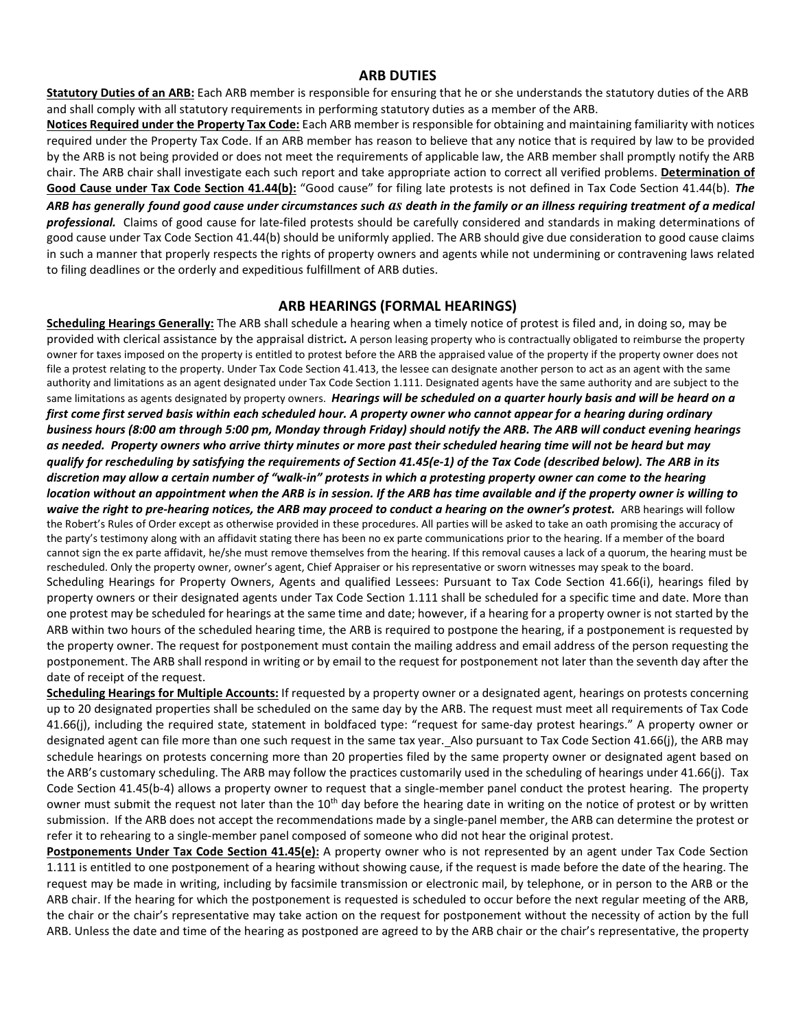## **ARB DUTIES**

**Statutory Duties of an ARB:** Each ARB member is responsible for ensuring that he or she understands the statutory duties of the ARB and shall comply with all statutory requirements in performing statutory duties as a member of the ARB.

**Notices Required under the Property Tax Code:** Each ARB member is responsible for obtaining and maintaining familiarity with notices required under the Property Tax Code. If an ARB member has reason to believe that any notice that is required by law to be provided by the ARB is not being provided or does not meet the requirements of applicable law, the ARB member shall promptly notify the ARB chair. The ARB chair shall investigate each such report and take appropriate action to correct all verified problems. **Determination of Good Cause under Tax Code Section 41.44(b):** "Good cause" for filing late protests is not defined in Tax Code Section 41.44(b). *The* 

*ARB has generally found good cause under circumstances such as death in the family or an illness requiring treatment of a medical professional.* Claims of good cause for late-filed protests should be carefully considered and standards in making determinations of good cause under Tax Code Section 41.44(b) should be uniformly applied. The ARB should give due consideration to good cause claims in such a manner that properly respects the rights of property owners and agents while not undermining or contravening laws related to filing deadlines or the orderly and expeditious fulfillment of ARB duties.

# **ARB HEARINGS (FORMAL HEARINGS)**

**Scheduling Hearings Generally:** The ARB shall schedule a hearing when a timely notice of protest is filed and, in doing so, may be provided with clerical assistance by the appraisal district*.* A person leasing property who is contractually obligated to reimburse the property owner for taxes imposed on the property is entitled to protest before the ARB the appraised value of the property if the property owner does not file a protest relating to the property. Under Tax Code Section 41.413, the lessee can designate another person to act as an agent with the same authority and limitations as an agent designated under Tax Code Section 1.111. Designated agents have the same authority and are subject to the same limitations as agents designated by property owners. *Hearings will be scheduled on a quarter hourly basis and will be heard on a first come first served basis within each scheduled hour. A property owner who cannot appear for a hearing during ordinary business hours (8:00 am through 5:00 pm, Monday through Friday) should notify the ARB. The ARB will conduct evening hearings as needed. Property owners who arrive thirty minutes or more past their scheduled hearing time will not be heard but may qualify for rescheduling by satisfying the requirements of Section 41.45(e-1) of the Tax Code (described below). The ARB in its discretion may allow a certain number of "walk-in" protests in which a protesting property owner can come to the hearing location without an appointment when the ARB is in session. If the ARB has time available and if the property owner is willing to waive the right to pre-hearing notices, the ARB may proceed to conduct a hearing on the owner's protest.* ARB hearings will follow the Robert's Rules of Order except as otherwise provided in these procedures. All parties will be asked to take an oath promising the accuracy of the party's testimony along with an affidavit stating there has been no ex parte communications prior to the hearing. If a member of the board cannot sign the ex parte affidavit, he/she must remove themselves from the hearing. If this removal causes a lack of a quorum, the hearing must be rescheduled. Only the property owner, owner's agent, Chief Appraiser or his representative or sworn witnesses may speak to the board. Scheduling Hearings for Property Owners, Agents and qualified Lessees: Pursuant to Tax Code Section 41.66(i), hearings filed by property owners or their designated agents under Tax Code Section 1.111 shall be scheduled for a specific time and date. More than one protest may be scheduled for hearings at the same time and date; however, if a hearing for a property owner is not started by the ARB within two hours of the scheduled hearing time, the ARB is required to postpone the hearing, if a postponement is requested by the property owner. The request for postponement must contain the mailing address and email address of the person requesting the postponement. The ARB shall respond in writing or by email to the request for postponement not later than the seventh day after the date of receipt of the request.

**Scheduling Hearings for Multiple Accounts:** If requested by a property owner or a designated agent, hearings on protests concerning up to 20 designated properties shall be scheduled on the same day by the ARB. The request must meet all requirements of Tax Code 41.66(j), including the required state, statement in boldfaced type: "request for same-day protest hearings." A property owner or designated agent can file more than one such request in the same tax year. Also pursuant to Tax Code Section 41.66(j), the ARB may schedule hearings on protests concerning more than 20 properties filed by the same property owner or designated agent based on the ARB's customary scheduling. The ARB may follow the practices customarily used in the scheduling of hearings under 41.66(j). Tax Code Section 41.45(b-4) allows a property owner to request that a single-member panel conduct the protest hearing. The property owner must submit the request not later than the 10<sup>th</sup> day before the hearing date in writing on the notice of protest or by written submission. If the ARB does not accept the recommendations made by a single-panel member, the ARB can determine the protest or refer it to rehearing to a single-member panel composed of someone who did not hear the original protest.

**Postponements Under Tax Code Section 41.45(e):** A property owner who is not represented by an agent under Tax Code Section 1.111 is entitled to one postponement of a hearing without showing cause, if the request is made before the date of the hearing. The request may be made in writing, including by facsimile transmission or electronic mail, by telephone, or in person to the ARB or the ARB chair. If the hearing for which the postponement is requested is scheduled to occur before the next regular meeting of the ARB, the chair or the chair's representative may take action on the request for postponement without the necessity of action by the full ARB. Unless the date and time of the hearing as postponed are agreed to by the ARB chair or the chair's representative, the property